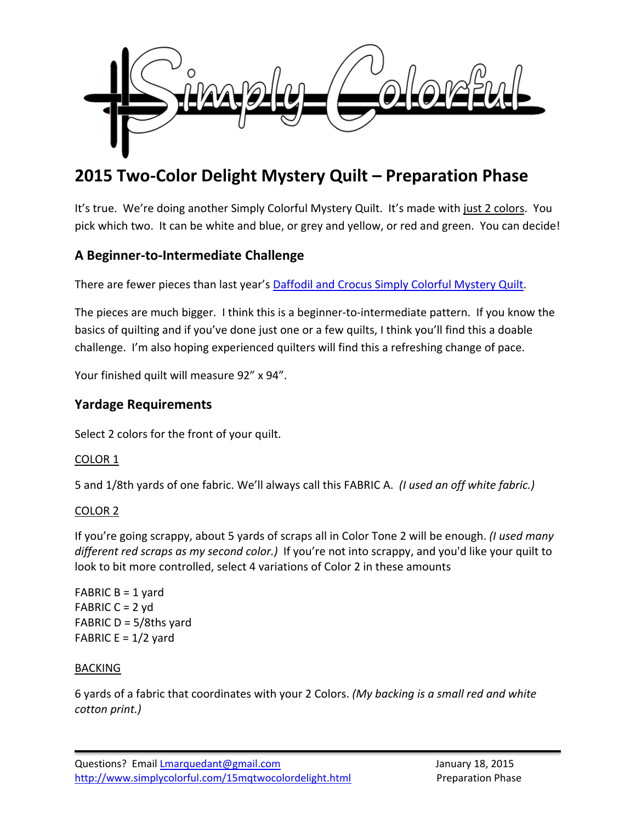

# **2015 Two-Color Delight Mystery Quilt – Preparation Phase**

It's true. We're doing another Simply Colorful Mystery Quilt. It's made with just 2 colors. You pick which two. It can be white and blue, or grey and yellow, or red and green. You can decide!

# **A Beginner-to-Intermediate Challenge**

There are fewer pieces than last year's [Daffodil and Crocus Simply Colorful Mystery Quilt.](http://www.simplycolorful.com/14mqdaffodilcrocus.html)

The pieces are much bigger. I think this is a beginner-to-intermediate pattern. If you know the basics of quilting and if you've done just one or a few quilts, I think you'll find this a doable challenge. I'm also hoping experienced quilters will find this a refreshing change of pace.

Your finished quilt will measure 92" x 94".

# **Yardage Requirements**

Select 2 colors for the front of your quilt.

### COLOR 1

5 and 1/8th yards of one fabric. We'll always call this FABRIC A. *(I used an off white fabric.)*

### COLOR 2

If you're going scrappy, about 5 yards of scraps all in Color Tone 2 will be enough. *(I used many different red scraps as my second color.)* If you're not into scrappy, and you'd like your quilt to look to bit more controlled, select 4 variations of Color 2 in these amounts

FABRIC  $B = 1$  yard FABRIC  $C = 2$  yd FABRIC  $D = 5/8$ ths yard FABRIC  $E = 1/2$  yard

### BACKING

6 yards of a fabric that coordinates with your 2 Colors. *(My backing is a small red and white cotton print.)*